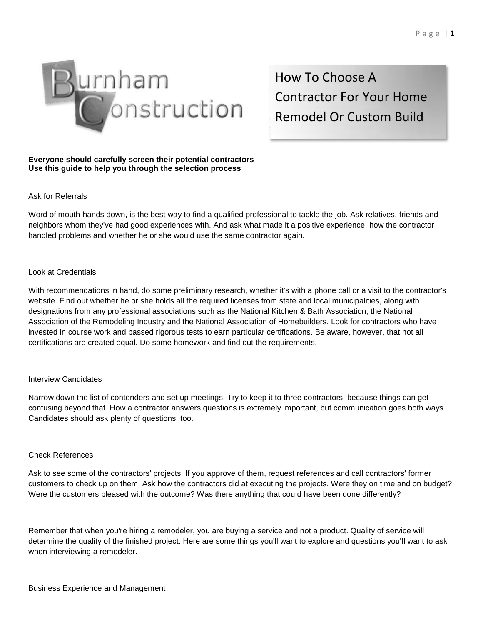

How To Choose A Contractor For Your Home Remodel Or Custom Build

# **Everyone should carefully screen their potential contractors Use this guide to help you through the selection process**

# Ask for Referrals

Word of mouth-hands down, is the best way to find a qualified professional to tackle the job. Ask relatives, friends and neighbors whom they've had good experiences with. And ask what made it a positive experience, how the contractor handled problems and whether he or she would use the same contractor again.

# Look at Credentials

With recommendations in hand, do some preliminary research, whether it's with a phone call or a visit to the contractor's website. Find out whether he or she holds all the required licenses from state and local municipalities, along with designations from any professional associations such as the National Kitchen & Bath Association, the National Association of the Remodeling Industry and the National Association of Homebuilders. Look for contractors who have invested in course work and passed rigorous tests to earn particular certifications. Be aware, however, that not all certifications are created equal. Do some homework and find out the requirements.

## Interview Candidates

Narrow down the list of contenders and set up meetings. Try to keep it to three contractors, because things can get confusing beyond that. How a contractor answers questions is extremely important, but communication goes both ways. Candidates should ask plenty of questions, too.

## Check References

Ask to see some of the contractors' projects. If you approve of them, request references and call contractors' former customers to check up on them. Ask how the contractors did at executing the projects. Were they on time and on budget? Were the customers pleased with the outcome? Was there anything that could have been done differently?

Remember that when you're hiring a remodeler, you are buying a service and not a product. Quality of service will determine the quality of the finished project. Here are some things you'll want to explore and questions you'll want to ask when interviewing a remodeler.